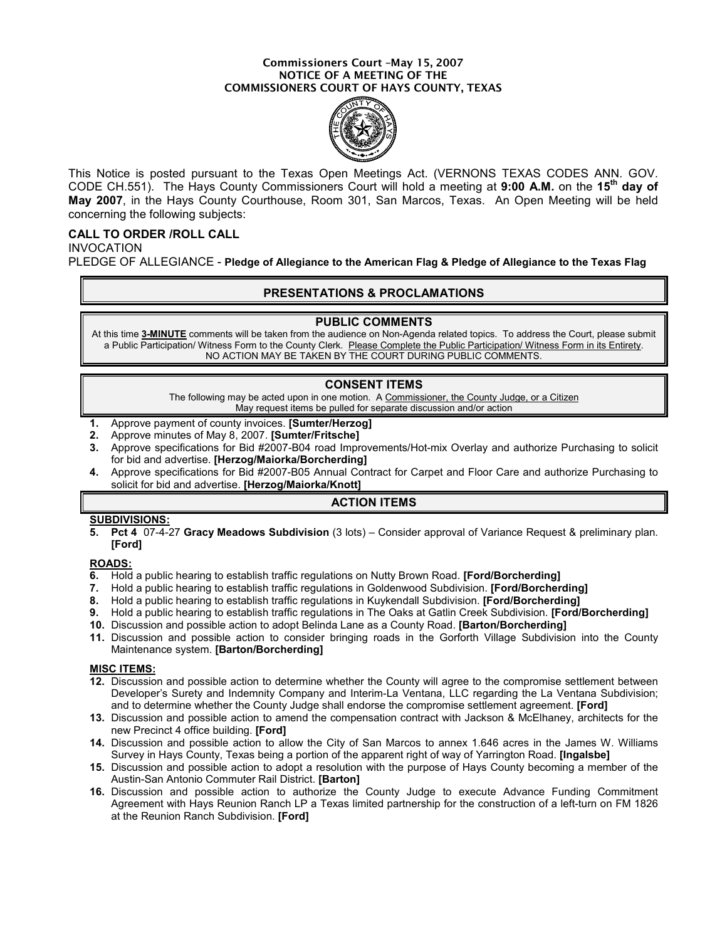#### Commissioners Court –May 15, 2007 NOTICE OF A MEETING OF THE COMMISSIONERS COURT OF HAYS COUNTY, TEXAS



This Notice is posted pursuant to the Texas Open Meetings Act. (VERNONS TEXAS CODES ANN. GOV. CODE CH.551). The Hays County Commissioners Court will hold a meeting at 9:00 A.M. on the 15<sup>th</sup> day of May 2007, in the Hays County Courthouse, Room 301, San Marcos, Texas. An Open Meeting will be held concerning the following subjects:

# CALL TO ORDER /ROLL CALL

INVOCATION

PLEDGE OF ALLEGIANCE - Pledge of Allegiance to the American Flag & Pledge of Allegiance to the Texas Flag

# PRESENTATIONS & PROCLAMATIONS

#### PUBLIC COMMENTS

At this time 3-MINUTE comments will be taken from the audience on Non-Agenda related topics. To address the Court, please submit a Public Participation/ Witness Form to the County Clerk. Please Complete the Public Participation/ Witness Form in its Entirety. NO ACTION MAY BE TAKEN BY THE COURT DURING PUBLIC COMMENTS.

## CONSENT ITEMS

The following may be acted upon in one motion. A Commissioner, the County Judge, or a Citizen May request items be pulled for separate discussion and/or action

- 1. Approve payment of county invoices. [Sumter/Herzog]
- 2. Approve minutes of May 8, 2007. [Sumter/Fritsche]
- 3. Approve specifications for Bid #2007-B04 road Improvements/Hot-mix Overlay and authorize Purchasing to solicit for bid and advertise. [Herzog/Maiorka/Borcherding]
- 4. Approve specifications for Bid #2007-B05 Annual Contract for Carpet and Floor Care and authorize Purchasing to solicit for bid and advertise. [Herzog/Maiorka/Knott]

# ACTION ITEMS

### SUBDIVISIONS:

5. Pct 4 07-4-27 Gracy Meadows Subdivision (3 lots) – Consider approval of Variance Request & preliminary plan. [Ford]

### ROADS:

- 6. Hold a public hearing to establish traffic regulations on Nutty Brown Road. [Ford/Borcherding]
- 7. Hold a public hearing to establish traffic regulations in Goldenwood Subdivision. [Ford/Borcherding]
- 8. Hold a public hearing to establish traffic regulations in Kuykendall Subdivision. [Ford/Borcherding]
- 9. Hold a public hearing to establish traffic regulations in The Oaks at Gatlin Creek Subdivision. [Ford/Borcherding]
- 10. Discussion and possible action to adopt Belinda Lane as a County Road. [Barton/Borcherding]
- 11. Discussion and possible action to consider bringing roads in the Gorforth Village Subdivision into the County Maintenance system. [Barton/Borcherding]

#### MISC ITEMS:

- 12. Discussion and possible action to determine whether the County will agree to the compromise settlement between Developer's Surety and Indemnity Company and Interim-La Ventana, LLC regarding the La Ventana Subdivision; and to determine whether the County Judge shall endorse the compromise settlement agreement. [Ford]
- 13. Discussion and possible action to amend the compensation contract with Jackson & McElhaney, architects for the new Precinct 4 office building. [Ford]
- 14. Discussion and possible action to allow the City of San Marcos to annex 1.646 acres in the James W. Williams Survey in Hays County, Texas being a portion of the apparent right of way of Yarrington Road. [Ingalsbe]
- 15. Discussion and possible action to adopt a resolution with the purpose of Hays County becoming a member of the Austin-San Antonio Commuter Rail District. [Barton]
- 16. Discussion and possible action to authorize the County Judge to execute Advance Funding Commitment Agreement with Hays Reunion Ranch LP a Texas limited partnership for the construction of a left-turn on FM 1826 at the Reunion Ranch Subdivision. [Ford]